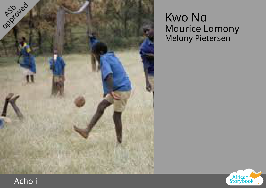

## Kwo Na Maurice Lamony Melany Pietersen



## Acholi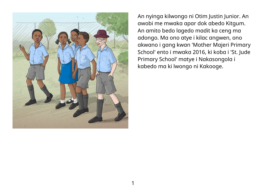

An nyinga kilwongo ni Otim Justin Junior. An awobi me mwaka apar dok abedo Kitgum. An amito bedo lagedo madit ka ceng ma adongo. Ma ono atye i kilac angwen, ono akwano i gang kwan 'Mother Majeri Primary School' ento i mwaka 2016, ki koba i 'St. Jude Primary School' matye i Nakasongola i kabedo ma ki lwongo ni Kakooge.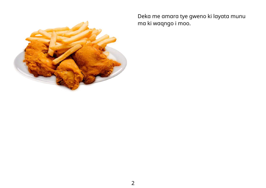

Deka me amara tye gweno ki layata munu ma ki waqngo i moo.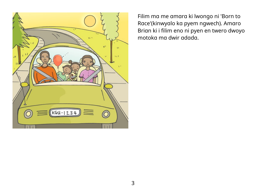

Filim ma me amara ki lwongo ni 'Born to Race'(kinwyalo ka pyem ngwech). Amaro Brian ki i filim eno ni pyen en twero dwoyo motoka ma dwir adada.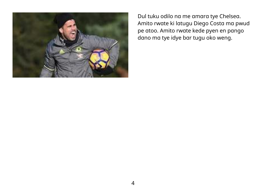

Dul tuku odilo na me amara tye Chelsea. Amito rwate ki latugu Diego Costa ma pwud pe atoo. Amito rwate kede pyen en pango dano ma tye idye bar tugu oko weng.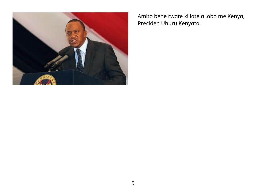

Amito bene rwate ki latela lobo me Kenya, Preciden Uhuru Kenyata.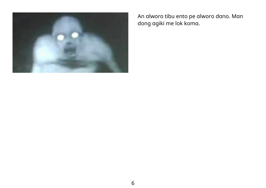

An alworo tibu ento pe alworo dano. Man dong agiki me lok koma.